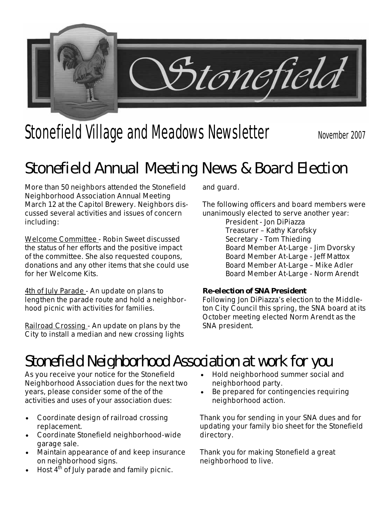

# Stonefield Village and Meadows Newsletter November 2007

## **Stonefield Annual Meeting News & Board Election**

More than 50 neighbors attended the Stonefield Neighborhood Association Annual Meeting March 12 at the Capitol Brewery. Neighbors discussed several activities and issues of concern including:

Welcome Committee - Robin Sweet discussed the status of her efforts and the positive impact of the committee. She also requested coupons, donations and any other items that she could use for her Welcome Kits.

4th of July Parade - An update on plans to lengthen the parade route and hold a neighborhood picnic with activities for families.

Railroad Crossing - An update on plans by the City to install a median and new crossing lights and guard.

The following officers and board members were unanimously elected to serve another year:

President - Jon DiPiazza Treasurer – Kathy Karofsky Secretary - Tom Thieding Board Member At-Large - Jim Dvorsky Board Member At-Large - Jeff Mattox Board Member At-Large – Mike Adler Board Member At-Large - Norm Arendt

#### **Re-election of SNA President**

Following Jon DiPiazza's election to the Middleton City Council this spring, the SNA board at its October meeting elected Norm Arendt as the SNA president.

## **Stonefield Neighborhood Association at work for you**

As you receive your notice for the Stonefield Neighborhood Association dues for the next two years, please consider some of the of the activities and uses of your association dues:

- Coordinate design of railroad crossing replacement.
- Coordinate Stonefield neighborhood-wide garage sale.
- Maintain appearance of and keep insurance on neighborhood signs.
- Host  $4<sup>th</sup>$  of July parade and family picnic.
- Hold neighborhood summer social and neighborhood party.
- Be prepared for contingencies requiring neighborhood action.

Thank you for sending in your SNA dues and for updating your family bio sheet for the Stonefield directory.

Thank you for making Stonefield a great neighborhood to live.